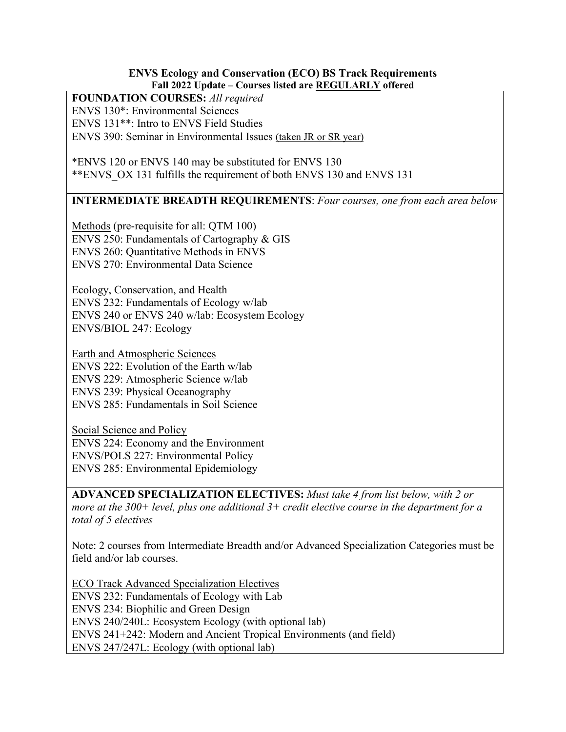## **ENVS Ecology and Conservation (ECO) BS Track Requirements Fall 2022 Update – Courses listed are REGULARLY offered**

## **FOUNDATION COURSES:** *All required*

ENVS 130\*: Environmental Sciences

ENVS 131\*\*: Intro to ENVS Field Studies

ENVS 390: Seminar in Environmental Issues (taken JR or SR year)

\*ENVS 120 or ENVS 140 may be substituted for ENVS 130 \*\*ENVS\_OX 131 fulfills the requirement of both ENVS 130 and ENVS 131

## **INTERMEDIATE BREADTH REQUIREMENTS**: *Four courses, one from each area below*

Methods (pre-requisite for all: QTM 100) ENVS 250: Fundamentals of Cartography & GIS ENVS 260: Quantitative Methods in ENVS ENVS 270: Environmental Data Science

Ecology, Conservation, and Health ENVS 232: Fundamentals of Ecology w/lab ENVS 240 or ENVS 240 w/lab: Ecosystem Ecology ENVS/BIOL 247: Ecology

Earth and Atmospheric Sciences ENVS 222: Evolution of the Earth w/lab ENVS 229: Atmospheric Science w/lab ENVS 239: Physical Oceanography ENVS 285: Fundamentals in Soil Science

Social Science and Policy ENVS 224: Economy and the Environment ENVS/POLS 227: Environmental Policy ENVS 285: Environmental Epidemiology

**ADVANCED SPECIALIZATION ELECTIVES:** *Must take 4 from list below, with 2 or more at the 300+ level, plus one additional 3+ credit elective course in the department for a total of 5 electives*

Note: 2 courses from Intermediate Breadth and/or Advanced Specialization Categories must be field and/or lab courses.

ECO Track Advanced Specialization Electives ENVS 232: Fundamentals of Ecology with Lab ENVS 234: Biophilic and Green Design ENVS 240/240L: Ecosystem Ecology (with optional lab) ENVS 241+242: Modern and Ancient Tropical Environments (and field) ENVS 247/247L: Ecology (with optional lab)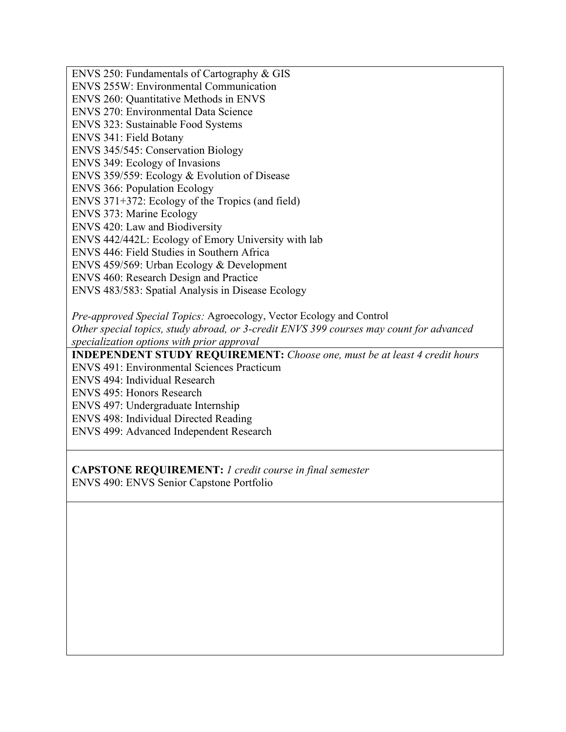ENVS 250: Fundamentals of Cartography & GIS ENVS 255W: Environmental Communication ENVS 260: Quantitative Methods in ENVS ENVS 270: Environmental Data Science ENVS 323: Sustainable Food Systems ENVS 341: Field Botany ENVS 345/545: Conservation Biology ENVS 349: Ecology of Invasions ENVS 359/559: Ecology & Evolution of Disease ENVS 366: Population Ecology ENVS 371+372: Ecology of the Tropics (and field) ENVS 373: Marine Ecology ENVS 420: Law and Biodiversity ENVS 442/442L: Ecology of Emory University with lab ENVS 446: Field Studies in Southern Africa ENVS 459/569: Urban Ecology & Development ENVS 460: Research Design and Practice ENVS 483/583: Spatial Analysis in Disease Ecology *Pre-approved Special Topics:* Agroecology, Vector Ecology and Control *Other special topics, study abroad, or 3-credit ENVS 399 courses may count for advanced specialization options with prior approval* **INDEPENDENT STUDY REQUIREMENT:** *Choose one, must be at least 4 credit hours* ENVS 491: Environmental Sciences Practicum ENVS 494: Individual Research ENVS 495: Honors Research ENVS 497: Undergraduate Internship ENVS 498: Individual Directed Reading

ENVS 499: Advanced Independent Research

**CAPSTONE REQUIREMENT:** *1 credit course in final semester*

ENVS 490: ENVS Senior Capstone Portfolio